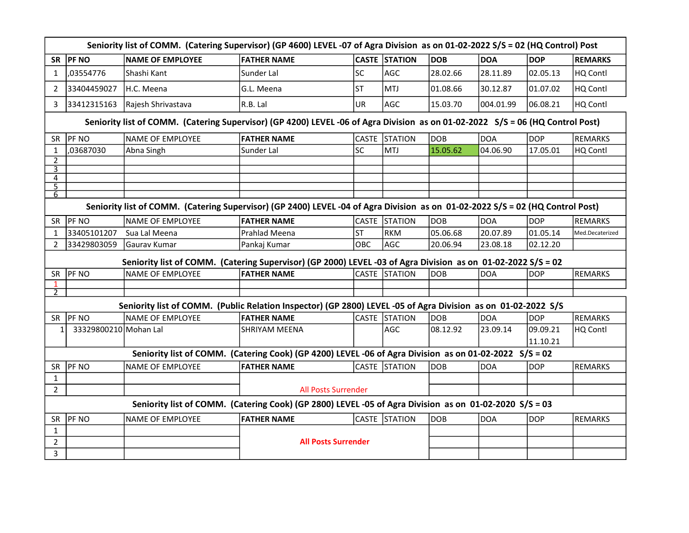|                | Seniority list of COMM. (Catering Supervisor) (GP 4600) LEVEL-07 of Agra Division as on 01-02-2022 S/S = 02 (HQ Control) Post |                                                                                                                                |                                                                                                        |           |                      |            |            |            |                 |  |  |
|----------------|-------------------------------------------------------------------------------------------------------------------------------|--------------------------------------------------------------------------------------------------------------------------------|--------------------------------------------------------------------------------------------------------|-----------|----------------------|------------|------------|------------|-----------------|--|--|
| <b>SR</b>      | <b>PF NO</b>                                                                                                                  | <b>NAME OF EMPLOYEE</b>                                                                                                        | <b>FATHER NAME</b>                                                                                     |           | <b>CASTE STATION</b> | <b>DOB</b> | <b>DOA</b> | <b>DOP</b> | <b>REMARKS</b>  |  |  |
| $\mathbf{1}$   | ,03554776                                                                                                                     | Shashi Kant                                                                                                                    | Sunder Lal                                                                                             | <b>SC</b> | AGC                  | 28.02.66   | 28.11.89   | 02.05.13   | HQ Contl        |  |  |
| $\overline{2}$ | 33404459027                                                                                                                   | H.C. Meena                                                                                                                     | G.L. Meena                                                                                             | lst       | MTJ                  | 01.08.66   | 30.12.87   | 01.07.02   | HQ Contl        |  |  |
| 3              | 33412315163                                                                                                                   | Rajesh Shrivastava                                                                                                             | $ R.B.$ Lal                                                                                            | <b>UR</b> | AGC                  | 15.03.70   | 004.01.99  | 06.08.21   | HQ Contl        |  |  |
|                |                                                                                                                               | Seniority list of COMM. (Catering Supervisor) (GP 4200) LEVEL -06 of Agra Division as on 01-02-2022 S/S = 06 (HQ Control Post) |                                                                                                        |           |                      |            |            |            |                 |  |  |
| <b>SR</b>      | <b>PF NO</b>                                                                                                                  | <b>NAME OF EMPLOYEE</b>                                                                                                        | <b>FATHER NAME</b>                                                                                     |           | CASTE STATION        | <b>DOB</b> | <b>DOA</b> | <b>DOP</b> | <b>REMARKS</b>  |  |  |
| 1              | ,03687030                                                                                                                     | Abna Singh                                                                                                                     | Sunder Lal                                                                                             | <b>SC</b> | MTJ                  | 15.05.62   | 04.06.90   | 17.05.01   | HQ Contl        |  |  |
| $\overline{2}$ |                                                                                                                               |                                                                                                                                |                                                                                                        |           |                      |            |            |            |                 |  |  |
| 3<br>4         |                                                                                                                               |                                                                                                                                |                                                                                                        |           |                      |            |            |            |                 |  |  |
| $\overline{5}$ |                                                                                                                               |                                                                                                                                |                                                                                                        |           |                      |            |            |            |                 |  |  |
| 6              |                                                                                                                               |                                                                                                                                |                                                                                                        |           |                      |            |            |            |                 |  |  |
|                |                                                                                                                               | Seniority list of COMM. (Catering Supervisor) (GP 2400) LEVEL -04 of Agra Division as on 01-02-2022 S/S = 02 (HQ Control Post) |                                                                                                        |           |                      |            |            |            |                 |  |  |
| SR             | <b>PF NO</b>                                                                                                                  | NAME OF EMPLOYEE                                                                                                               | <b>FATHER NAME</b>                                                                                     |           | CASTE STATION        | DOB        | DOA        | DOP        | <b>REMARKS</b>  |  |  |
| 1              | 33405101207                                                                                                                   | Sua Lal Meena                                                                                                                  | Prahlad Meena                                                                                          | <b>ST</b> | <b>RKM</b>           | 05.06.68   | 20.07.89   | 01.05.14   | Med.Decaterized |  |  |
| 2              | 33429803059                                                                                                                   | Gaurav Kumar                                                                                                                   | Pankaj Kumar                                                                                           | OBC       | AGC                  | 20.06.94   | 23.08.18   | 02.12.20   |                 |  |  |
|                |                                                                                                                               | Seniority list of COMM. (Catering Supervisor) (GP 2000) LEVEL -03 of Agra Division as on 01-02-2022 S/S = 02                   |                                                                                                        |           |                      |            |            |            |                 |  |  |
| <b>SR</b>      | <b>PF NO</b>                                                                                                                  | NAME OF EMPLOYEE                                                                                                               | <b>FATHER NAME</b>                                                                                     |           | CASTE STATION        | <b>DOB</b> | DOA        | <b>DOP</b> | <b>REMARKS</b>  |  |  |
| 1              |                                                                                                                               |                                                                                                                                |                                                                                                        |           |                      |            |            |            |                 |  |  |
| 2              |                                                                                                                               |                                                                                                                                |                                                                                                        |           |                      |            |            |            |                 |  |  |
|                |                                                                                                                               | Seniority list of COMM. (Public Relation Inspector) (GP 2800) LEVEL -05 of Agra Division as on 01-02-2022 S/S                  |                                                                                                        |           |                      |            |            |            |                 |  |  |
| <b>SR</b>      | <b>PF NO</b>                                                                                                                  | <b>NAME OF EMPLOYEE</b>                                                                                                        | <b>FATHER NAME</b>                                                                                     |           | CASTE STATION        | <b>DOB</b> | DOA        | <b>DOP</b> | <b>REMARKS</b>  |  |  |
| 1              | 33329800210 Mohan Lal                                                                                                         |                                                                                                                                | ISHRIYAM MEENA                                                                                         |           | AGC                  | 08.12.92   | 23.09.14   | 09.09.21   | HQ Contl        |  |  |
|                |                                                                                                                               |                                                                                                                                |                                                                                                        |           |                      |            |            | 11.10.21   |                 |  |  |
|                |                                                                                                                               |                                                                                                                                | Seniority list of COMM. (Catering Cook) (GP 4200) LEVEL -06 of Agra Division as on 01-02-2022 S/S = 02 |           |                      |            |            |            |                 |  |  |
| SR             | <b>PF NO</b>                                                                                                                  | <b>NAME OF EMPLOYEE</b>                                                                                                        | <b>FATHER NAME</b>                                                                                     |           | CASTE STATION        | <b>DOB</b> | <b>DOA</b> | <b>DOP</b> | <b>REMARKS</b>  |  |  |
| $\mathbf{1}$   |                                                                                                                               |                                                                                                                                |                                                                                                        |           |                      |            |            |            |                 |  |  |
| $\overline{2}$ |                                                                                                                               |                                                                                                                                | <b>All Posts Surrender</b>                                                                             |           |                      |            |            |            |                 |  |  |
|                | Seniority list of COMM. (Catering Cook) (GP 2800) LEVEL -05 of Agra Division as on 01-02-2020 S/S = 03                        |                                                                                                                                |                                                                                                        |           |                      |            |            |            |                 |  |  |
| SR             | PF NO                                                                                                                         | <b>NAME OF EMPLOYEE</b>                                                                                                        | <b>FATHER NAME</b>                                                                                     |           | CASTE STATION        | <b>DOB</b> | <b>DOA</b> | <b>DOP</b> | <b>REMARKS</b>  |  |  |
| $\mathbf{1}$   |                                                                                                                               |                                                                                                                                | <b>All Posts Surrender</b>                                                                             |           |                      |            |            |            |                 |  |  |
| $\overline{2}$ |                                                                                                                               |                                                                                                                                |                                                                                                        |           |                      |            |            |            |                 |  |  |
| 3              |                                                                                                                               |                                                                                                                                |                                                                                                        |           |                      |            |            |            |                 |  |  |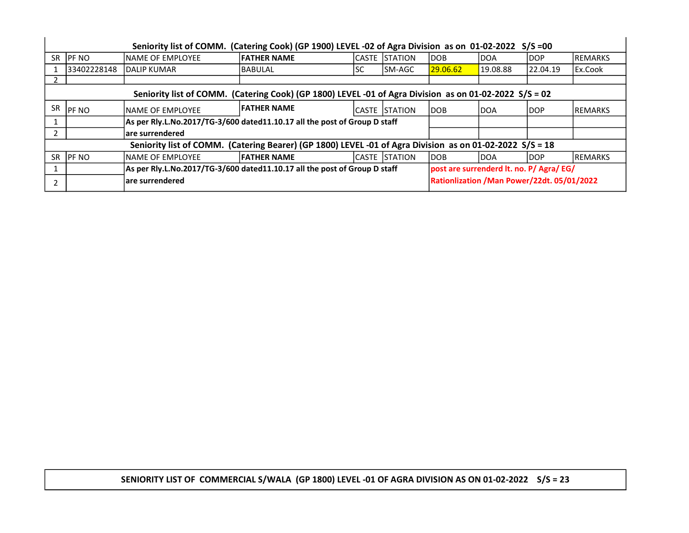|           | Seniority list of COMM. (Catering Cook) (GP 1900) LEVEL -02 of Agra Division as on 01-02-2022 S/S =00    |                   |                                                                           |     |                      |            |                                             |          |                 |  |  |
|-----------|----------------------------------------------------------------------------------------------------------|-------------------|---------------------------------------------------------------------------|-----|----------------------|------------|---------------------------------------------|----------|-----------------|--|--|
| SR.       | <b>IPF NO</b>                                                                                            | NAME OF EMPLOYEE  | <b>FATHER NAME</b>                                                        |     | ICASTE ISTATION      | <b>DOB</b> | <b>DOA</b>                                  | ldop     | IREMARKS        |  |  |
|           | 33402228148                                                                                              | IDALIP KUMAR      | IBABULAL                                                                  | ISC | lSM-AGC              | 29.06.62   | 19.08.88                                    | 22.04.19 | l Ex.Cook       |  |  |
|           |                                                                                                          |                   |                                                                           |     |                      |            |                                             |          |                 |  |  |
|           | Seniority list of COMM. (Catering Cook) (GP 1800) LEVEL -01 of Agra Division as on 01-02-2022 S/S = 02   |                   |                                                                           |     |                      |            |                                             |          |                 |  |  |
| <b>SR</b> | <b>PF NO</b>                                                                                             | INAME OF EMPLOYEE | <b>IFATHER NAME</b>                                                       |     | ICASTE ISTATION      | <b>DOB</b> | <b>DOA</b>                                  | ldop     | IREMARKS        |  |  |
|           |                                                                                                          |                   | As per Rly.L.No.2017/TG-3/600 dated11.10.17 all the post of Group D staff |     |                      |            |                                             |          |                 |  |  |
|           |                                                                                                          | lare surrendered  |                                                                           |     |                      |            |                                             |          |                 |  |  |
|           | Seniority list of COMM. (Catering Bearer) (GP 1800) LEVEL -01 of Agra Division as on 01-02-2022 S/S = 18 |                   |                                                                           |     |                      |            |                                             |          |                 |  |  |
| <b>SR</b> | <b>IPF NO</b>                                                                                            | NAME OF EMPLOYEE  | <b>FATHER NAME</b>                                                        |     | <b>CASTE STATION</b> | <b>DOB</b> | IDOA                                        | ldop     | <b>IREMARKS</b> |  |  |
|           | As per Rly.L.No.2017/TG-3/600 dated11.10.17 all the post of Group D staff                                |                   |                                                                           |     |                      |            | post are surrenderd lt. no. P/ Agra/ EG/    |          |                 |  |  |
|           | lare surrendered                                                                                         |                   |                                                                           |     |                      |            | Rationlization / Man Power/22dt. 05/01/2022 |          |                 |  |  |

SENIORITY LIST OF COMMERCIAL S/WALA (GP 1800) LEVEL -01 OF AGRA DIVISION AS ON 01-02-2022 S/S = 23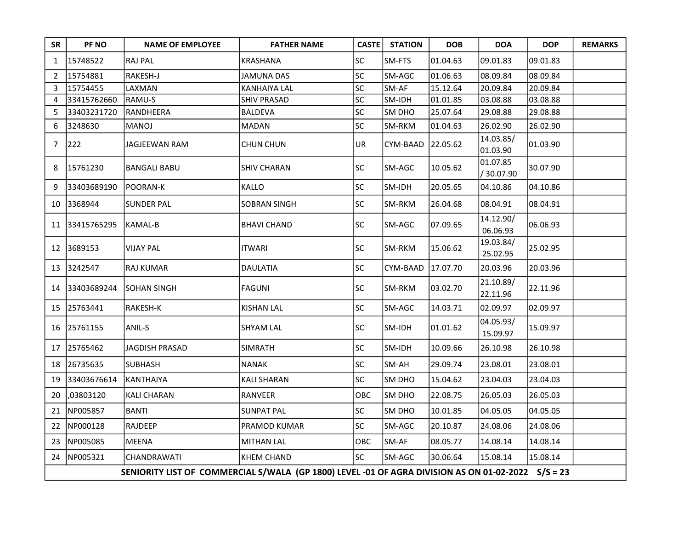| <b>SR</b>      | PF NO                                                                                            | <b>NAME OF EMPLOYEE</b>                                                                            | <b>FATHER NAME</b>  | <b>CASTE</b> | <b>STATION</b> | <b>DOB</b> | <b>DOA</b>             | <b>DOP</b> | <b>REMARKS</b> |  |  |  |
|----------------|--------------------------------------------------------------------------------------------------|----------------------------------------------------------------------------------------------------|---------------------|--------------|----------------|------------|------------------------|------------|----------------|--|--|--|
| 1              | 15748522                                                                                         | RAJ PAL                                                                                            | KRASHANA            | SC           | SM-FTS         | 01.04.63   | 09.01.83               | 09.01.83   |                |  |  |  |
| 2              | 15754881                                                                                         | RAKESH-J                                                                                           | <b>JAMUNA DAS</b>   | SC           | SM-AGC         | 01.06.63   | 08.09.84               | 08.09.84   |                |  |  |  |
| 3              | 15754455                                                                                         | LAXMAN                                                                                             | <b>KANHAIYA LAL</b> | SC           | SM-AF          | 15.12.64   | 20.09.84               | 20.09.84   |                |  |  |  |
| $\overline{4}$ | 33415762660                                                                                      | RAMU-S                                                                                             | <b>SHIV PRASAD</b>  | SC           | SM-IDH         | 01.01.85   | 03.08.88               | 03.08.88   |                |  |  |  |
| 5              | 33403231720                                                                                      | RANDHEERA                                                                                          | <b>BALDEVA</b>      | SC           | SM DHO         | 25.07.64   | 29.08.88               | 29.08.88   |                |  |  |  |
| 6              | 3248630                                                                                          | <b>MANOJ</b>                                                                                       | <b>MADAN</b>        | SC           | SM-RKM         | 01.04.63   | 26.02.90               | 26.02.90   |                |  |  |  |
| 7              | 222                                                                                              | JAGJEEWAN RAM                                                                                      | <b>CHUN CHUN</b>    | UR           | CYM-BAAD       | 22.05.62   | 14.03.85/<br>01.03.90  | 01.03.90   |                |  |  |  |
| 8              | 15761230                                                                                         | <b>BANGALI BABU</b>                                                                                | <b>SHIV CHARAN</b>  | SC           | SM-AGC         | 10.05.62   | 01.07.85<br>/ 30.07.90 | 30.07.90   |                |  |  |  |
| 9              | 33403689190                                                                                      | POORAN-K                                                                                           | KALLO               | SC           | SM-IDH         | 20.05.65   | 04.10.86               | 04.10.86   |                |  |  |  |
| 10             | 3368944                                                                                          | <b>SUNDER PAL</b>                                                                                  | <b>SOBRAN SINGH</b> | SC           | SM-RKM         | 26.04.68   | 08.04.91               | 08.04.91   |                |  |  |  |
| 11             | 33415765295                                                                                      | <b>KAMAL-B</b>                                                                                     | <b>BHAVI CHAND</b>  | <b>SC</b>    | SM-AGC         | 07.09.65   | 14.12.90/<br>06.06.93  | 06.06.93   |                |  |  |  |
| 12             | 3689153                                                                                          | <b>VIJAY PAL</b>                                                                                   | <b>ITWARI</b>       | SC           | SM-RKM         | 15.06.62   | 19.03.84/<br>25.02.95  | 25.02.95   |                |  |  |  |
| 13             | 3242547                                                                                          | <b>RAJ KUMAR</b>                                                                                   | DAULATIA            | SC           | CYM-BAAD       | 17.07.70   | 20.03.96               | 20.03.96   |                |  |  |  |
| 14             | 33403689244                                                                                      | <b>SOHAN SINGH</b>                                                                                 | <b>FAGUNI</b>       | <b>SC</b>    | SM-RKM         | 03.02.70   | 21.10.89/<br>22.11.96  | 22.11.96   |                |  |  |  |
| 15             | 25763441                                                                                         | RAKESH-K                                                                                           | <b>KISHAN LAL</b>   | SC           | SM-AGC         | 14.03.71   | 02.09.97               | 02.09.97   |                |  |  |  |
| 16             | 25761155                                                                                         | ANIL-S                                                                                             | SHYAM LAL           | SC           | SM-IDH         | 01.01.62   | 04.05.93/<br>15.09.97  | 15.09.97   |                |  |  |  |
| 17             | 25765462                                                                                         | <b>JAGDISH PRASAD</b>                                                                              | <b>SIMRATH</b>      | SC           | SM-IDH         | 10.09.66   | 26.10.98               | 26.10.98   |                |  |  |  |
| 18             | 26735635                                                                                         | <b>SUBHASH</b>                                                                                     | NANAK               | SC           | SM-AH          | 29.09.74   | 23.08.01               | 23.08.01   |                |  |  |  |
| 19             | 33403676614                                                                                      | <b>KANTHAIYA</b>                                                                                   | KALI SHARAN         | SC           | SM DHO         | 15.04.62   | 23.04.03               | 23.04.03   |                |  |  |  |
| 20             | ,03803120                                                                                        | <b>KALI CHARAN</b>                                                                                 | RANVEER             | OBC          | SM DHO         | 22.08.75   | 26.05.03               | 26.05.03   |                |  |  |  |
| 21             | NP005857                                                                                         | BANTI                                                                                              | <b>SUNPAT PAL</b>   | SC           | SM DHO         | 10.01.85   | 04.05.05               | 04.05.05   |                |  |  |  |
| 22             | NP000128                                                                                         | RAJDEEP                                                                                            | PRAMOD KUMAR        | SC           | SM-AGC         | 20.10.87   | 24.08.06               | 24.08.06   |                |  |  |  |
| 23             | NP005085                                                                                         | <b>MEENA</b>                                                                                       | <b>MITHAN LAL</b>   | OBC          | SM-AF          | 08.05.77   | 14.08.14               | 14.08.14   |                |  |  |  |
| 24             | SC<br>NP005321<br>CHANDRAWATI<br><b>KHEM CHAND</b><br>SM-AGC<br>30.06.64<br>15.08.14<br>15.08.14 |                                                                                                    |                     |              |                |            |                        |            |                |  |  |  |
|                |                                                                                                  | SENIORITY LIST OF COMMERCIAL S/WALA (GP 1800) LEVEL -01 OF AGRA DIVISION AS ON 01-02-2022 S/S = 23 |                     |              |                |            |                        |            |                |  |  |  |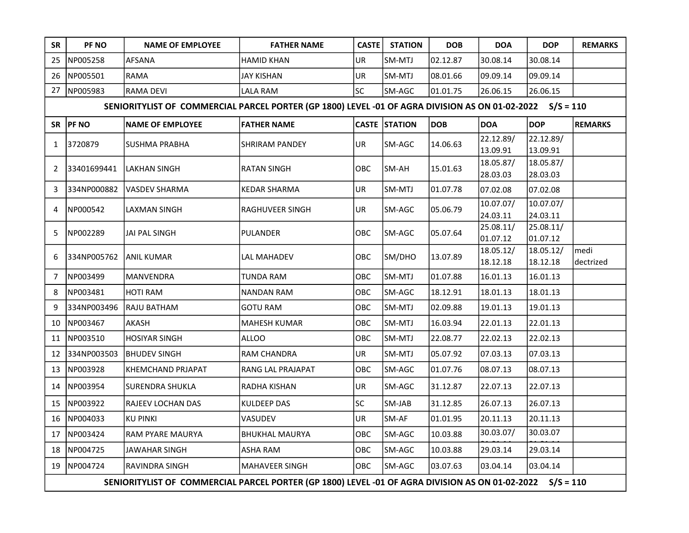| <b>SR</b> | PF NO                                                                                                    | <b>NAME OF EMPLOYEE</b>                                                                                   | <b>FATHER NAME</b>    | <b>CASTE</b> | <b>STATION</b>       | <b>DOB</b> | <b>DOA</b>            | <b>DOP</b>            | <b>REMARKS</b>    |  |  |  |
|-----------|----------------------------------------------------------------------------------------------------------|-----------------------------------------------------------------------------------------------------------|-----------------------|--------------|----------------------|------------|-----------------------|-----------------------|-------------------|--|--|--|
| 25        | NP005258                                                                                                 | <b>AFSANA</b>                                                                                             | <b>HAMID KHAN</b>     | UR           | SM-MTJ               | 02.12.87   | 30.08.14              | 30.08.14              |                   |  |  |  |
| 26        | NP005501                                                                                                 | <b>RAMA</b>                                                                                               | <b>JAY KISHAN</b>     | UR           | SM-MTJ               | 08.01.66   | 09.09.14              | 09.09.14              |                   |  |  |  |
| 27        | NP005983                                                                                                 | RAMA DEVI                                                                                                 | LALA RAM              | SC           | SM-AGC               | 01.01.75   | 26.06.15              | 26.06.15              |                   |  |  |  |
|           |                                                                                                          | SENIORITYLIST OF COMMERCIAL PARCEL PORTER (GP 1800) LEVEL -01 OF AGRA DIVISION AS ON 01-02-2022 S/S = 110 |                       |              |                      |            |                       |                       |                   |  |  |  |
| <b>SR</b> | <b>PF NO</b>                                                                                             | <b>NAME OF EMPLOYEE</b>                                                                                   | <b>FATHER NAME</b>    |              | <b>CASTE STATION</b> | <b>DOB</b> | <b>DOA</b>            | <b>DOP</b>            | <b>REMARKS</b>    |  |  |  |
| 1         | 3720879                                                                                                  | SUSHMA PRABHA                                                                                             | <b>SHRIRAM PANDEY</b> | UR           | SM-AGC               | 14.06.63   | 22.12.89/<br>13.09.91 | 22.12.89/<br>13.09.91 |                   |  |  |  |
| 2         | 33401699441                                                                                              | LAKHAN SINGH                                                                                              | <b>RATAN SINGH</b>    | OBC          | SM-AH                | 15.01.63   | 18.05.87/<br>28.03.03 | 18.05.87/<br>28.03.03 |                   |  |  |  |
| 3         | 334NP000882                                                                                              | lVASDEV SHARMA                                                                                            | <b>KEDAR SHARMA</b>   | UR           | SM-MTJ               | 01.07.78   | 07.02.08              | 07.02.08              |                   |  |  |  |
| 4         | NP000542                                                                                                 | <b>LAXMAN SINGH</b>                                                                                       | RAGHUVEER SINGH       | UR           | SM-AGC               | 05.06.79   | 10.07.07/<br>24.03.11 | 10.07.07/<br>24.03.11 |                   |  |  |  |
| 5         | NP002289                                                                                                 | JAI PAL SINGH                                                                                             | <b>PULANDER</b>       | OBC          | SM-AGC               | 05.07.64   | 25.08.11/<br>01.07.12 | 25.08.11/<br>01.07.12 |                   |  |  |  |
| 6         | 334NP005762                                                                                              | ANIL KUMAR                                                                                                | LAL MAHADEV           | OBC          | SM/DHO               | 13.07.89   | 18.05.12/<br>18.12.18 | 18.05.12/<br>18.12.18 | medi<br>dectrized |  |  |  |
| 7         | NP003499                                                                                                 | <b>MANVENDRA</b>                                                                                          | <b>TUNDA RAM</b>      | OBC          | SM-MTJ               | 01.07.88   | 16.01.13              | 16.01.13              |                   |  |  |  |
| 8         | NP003481                                                                                                 | <b>HOTI RAM</b>                                                                                           | <b>NANDAN RAM</b>     | <b>OBC</b>   | SM-AGC               | 18.12.91   | 18.01.13              | 18.01.13              |                   |  |  |  |
| 9         | 334NP003496                                                                                              | RAJU BATHAM                                                                                               | <b>GOTU RAM</b>       | ОВС          | SM-MTJ               | 02.09.88   | 19.01.13              | 19.01.13              |                   |  |  |  |
| 10        | NP003467                                                                                                 | AKASH                                                                                                     | <b>MAHESH KUMAR</b>   | OBC          | SM-MTJ               | 16.03.94   | 22.01.13              | 22.01.13              |                   |  |  |  |
| 11        | NP003510                                                                                                 | HOSIYAR SINGH                                                                                             | <b>ALLOO</b>          | OBC          | SM-MTJ               | 22.08.77   | 22.02.13              | 22.02.13              |                   |  |  |  |
| 12        | 334NP003503                                                                                              | BHUDEV SINGH                                                                                              | <b>RAM CHANDRA</b>    | UR           | SM-MTJ               | 05.07.92   | 07.03.13              | 07.03.13              |                   |  |  |  |
| 13        | NP003928                                                                                                 | <b>KHEMCHAND PRJAPAT</b>                                                                                  | RANG LAL PRAJAPAT     | ОВС          | SM-AGC               | 01.07.76   | 08.07.13              | 08.07.13              |                   |  |  |  |
| 14        | NP003954                                                                                                 | <b>SURENDRA SHUKLA</b>                                                                                    | RADHA KISHAN          | <b>UR</b>    | SM-AGC               | 31.12.87   | 22.07.13              | 22.07.13              |                   |  |  |  |
| 15        | NP003922                                                                                                 | <b>RAJEEV LOCHAN DAS</b>                                                                                  | KULDEEP DAS           | SC           | SM-JAB               | 31.12.85   | 26.07.13              | 26.07.13              |                   |  |  |  |
| 16        | NP004033                                                                                                 | KU PINKI                                                                                                  | <b>VASUDEV</b>        | UR           | SM-AF                | 01.01.95   | 20.11.13              | 20.11.13              |                   |  |  |  |
| 17        | NP003424                                                                                                 | RAM PYARE MAURYA                                                                                          | <b>BHUKHAL MAURYA</b> | OBC          | SM-AGC               | 10.03.88   | 30.03.07/             | 30.03.07              |                   |  |  |  |
| 18        | NP004725                                                                                                 | JAWAHAR SINGH                                                                                             | <b>ASHA RAM</b>       | OBC          | SM-AGC               | 10.03.88   | 29.03.14              | 29.03.14              |                   |  |  |  |
| 19        | OBC<br>NP004724<br>RAVINDRA SINGH<br><b>MAHAVEER SINGH</b><br>SM-AGC<br>03.07.63<br>03.04.14<br>03.04.14 |                                                                                                           |                       |              |                      |            |                       |                       |                   |  |  |  |
|           |                                                                                                          | SENIORITYLIST OF COMMERCIAL PARCEL PORTER (GP 1800) LEVEL -01 OF AGRA DIVISION AS ON 01-02-2022 S/S = 110 |                       |              |                      |            |                       |                       |                   |  |  |  |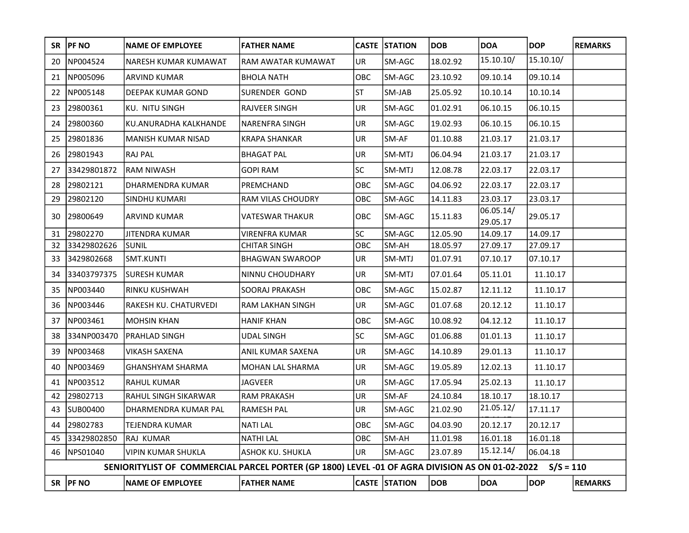|    | SR   PF NO                                                                                                | <b>NAME OF EMPLOYEE</b>   | <b>FATHER NAME</b>      |            | <b>CASTE STATION</b> | <b>DOB</b> | <b>DOA</b>            | <b>DOP</b> | <b>REMARKS</b> |  |
|----|-----------------------------------------------------------------------------------------------------------|---------------------------|-------------------------|------------|----------------------|------------|-----------------------|------------|----------------|--|
| 20 | NP004524                                                                                                  | NARESH KUMAR KUMAWAT      | RAM AWATAR KUMAWAT      | UR         | SM-AGC               | 18.02.92   | 15.10.10/             | 15.10.10/  |                |  |
| 21 | NP005096                                                                                                  | ARVIND KUMAR              | <b>BHOLA NATH</b>       | OBC        | SM-AGC               | 23.10.92   | 09.10.14              | 09.10.14   |                |  |
| 22 | NP005148                                                                                                  | DEEPAK KUMAR GOND         | SURENDER GOND           | <b>ST</b>  | SM-JAB               | 25.05.92   | 10.10.14              | 10.10.14   |                |  |
| 23 | 29800361                                                                                                  | KU. NITU SINGH            | RAJVEER SINGH           | UR         | SM-AGC               | 01.02.91   | 06.10.15              | 06.10.15   |                |  |
| 24 | 29800360                                                                                                  | KU.ANURADHA KALKHANDE     | <b>NARENFRA SINGH</b>   | UR         | SM-AGC               | 19.02.93   | 06.10.15              | 06.10.15   |                |  |
| 25 | 29801836                                                                                                  | <b>MANISH KUMAR NISAD</b> | <b>KRAPA SHANKAR</b>    | UR         | SM-AF                | 01.10.88   | 21.03.17              | 21.03.17   |                |  |
| 26 | 29801943                                                                                                  | <b>RAJ PAL</b>            | <b>BHAGAT PAL</b>       | UR         | SM-MTJ               | 06.04.94   | 21.03.17              | 21.03.17   |                |  |
| 27 | 33429801872                                                                                               | <b>RAM NIWASH</b>         | <b>GOPI RAM</b>         | SC         | SM-MTJ               | 12.08.78   | 22.03.17              | 22.03.17   |                |  |
| 28 | 29802121                                                                                                  | DHARMENDRA KUMAR          | PREMCHAND               | OBC        | SM-AGC               | 04.06.92   | 22.03.17              | 22.03.17   |                |  |
| 29 | 29802120                                                                                                  | SINDHU KUMARI             | RAM VILAS CHOUDRY       | OBC        | SM-AGC               | 14.11.83   | 23.03.17              | 23.03.17   |                |  |
| 30 | 29800649                                                                                                  | <b>ARVIND KUMAR</b>       | <b>VATESWAR THAKUR</b>  | <b>OBC</b> | SM-AGC               | 15.11.83   | 06.05.14/<br>29.05.17 | 29.05.17   |                |  |
| 31 | 29802270                                                                                                  | <b>JITENDRA KUMAR</b>     | <b>VIRENFRA KUMAR</b>   | SC         | SM-AGC               | 12.05.90   | 14.09.17              | 14.09.17   |                |  |
| 32 | 33429802626                                                                                               | <b>SUNIL</b>              | <b>CHITAR SINGH</b>     | OBC        | SM-AH                | 18.05.97   | 27.09.17              | 27.09.17   |                |  |
| 33 | 3429802668                                                                                                | SMT.KUNTI                 | <b>BHAGWAN SWAROOP</b>  | UR         | SM-MTJ               | 01.07.91   | 07.10.17              | 07.10.17   |                |  |
| 34 | 33403797375                                                                                               | <b>SURESH KUMAR</b>       | NINNU CHOUDHARY         | UR         | SM-MTJ               | 07.01.64   | 05.11.01              | 11.10.17   |                |  |
| 35 | NP003440                                                                                                  | RINKU KUSHWAH             | <b>SOORAJ PRAKASH</b>   | OBC        | SM-AGC               | 15.02.87   | 12.11.12              | 11.10.17   |                |  |
| 36 | NP003446                                                                                                  | RAKESH KU. CHATURVEDI     | RAM LAKHAN SINGH        | <b>UR</b>  | SM-AGC               | 01.07.68   | 20.12.12              | 11.10.17   |                |  |
| 37 | NP003461                                                                                                  | <b>MOHSIN KHAN</b>        | <b>HANIF KHAN</b>       | OBC        | SM-AGC               | 10.08.92   | 04.12.12              | 11.10.17   |                |  |
| 38 | 334NP003470                                                                                               | PRAHLAD SINGH             | <b>UDAL SINGH</b>       | <b>SC</b>  | SM-AGC               | 01.06.88   | 01.01.13              | 11.10.17   |                |  |
| 39 | NP003468                                                                                                  | <b>VIKASH SAXENA</b>      | ANIL KUMAR SAXENA       | UR         | SM-AGC               | 14.10.89   | 29.01.13              | 11.10.17   |                |  |
| 40 | NP003469                                                                                                  | <b>GHANSHYAM SHARMA</b>   | MOHAN LAL SHARMA        | UR         | SM-AGC               | 19.05.89   | 12.02.13              | 11.10.17   |                |  |
| 41 | NP003512                                                                                                  | <b>RAHUL KUMAR</b>        | <b>JAGVEER</b>          | UR         | SM-AGC               | 17.05.94   | 25.02.13              | 11.10.17   |                |  |
| 42 | 29802713                                                                                                  | RAHUL SINGH SIKARWAR      | <b>RAM PRAKASH</b>      | UR         | SM-AF                | 24.10.84   | 18.10.17              | 18.10.17   |                |  |
| 43 | SUB00400                                                                                                  | DHARMENDRA KUMAR PAL      | <b>RAMESH PAL</b>       | <b>UR</b>  | SM-AGC               | 21.02.90   | 21.05.12/             | 17.11.17   |                |  |
|    | 44 29802783                                                                                               | TEJENDRA KUMAR            | <b>NATILAL</b>          | OBC        | SM-AGC               | 04.03.90   | 20.12.17              | 20.12.17   |                |  |
| 45 | 33429802850                                                                                               | RAJ KUMAR                 | <b>NATHI LAL</b>        | OBC        | SM-AH                | 11.01.98   | 16.01.18              | 16.01.18   |                |  |
|    | 46   NPS01040                                                                                             | <b>VIPIN KUMAR SHUKLA</b> | <b>ASHOK KU. SHUKLA</b> | UR         | SM-AGC               | 23.07.89   | 15.12.14/             | 06.04.18   |                |  |
|    | SENIORITYLIST OF COMMERCIAL PARCEL PORTER (GP 1800) LEVEL -01 OF AGRA DIVISION AS ON 01-02-2022 S/S = 110 |                           |                         |            |                      |            |                       |            |                |  |
|    | SR  PF NO                                                                                                 | <b>NAME OF EMPLOYEE</b>   | <b>FATHER NAME</b>      |            | CASTE STATION        | <b>DOB</b> | <b>DOA</b>            | <b>DOP</b> | <b>REMARKS</b> |  |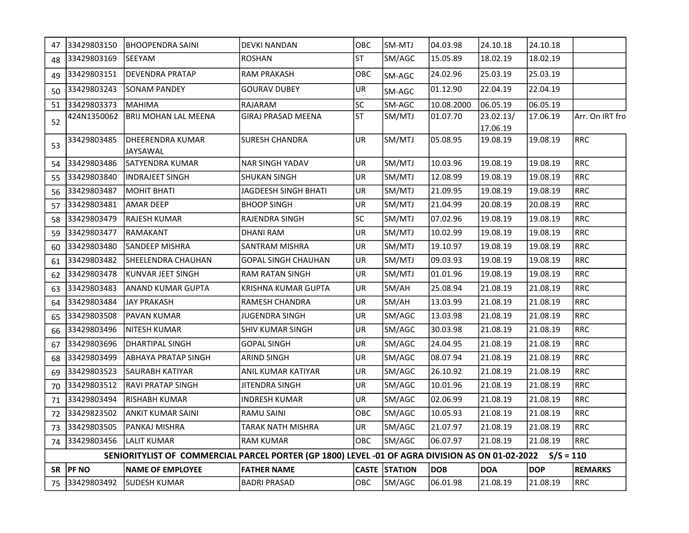| 47                                                                                                        | 33429803150    | BHOOPENDRA SAINI             | DEVKI NANDAN               | OBC       | SM-MTJ               | 04.03.98   | 24.10.18              | 24.10.18   |                 |
|-----------------------------------------------------------------------------------------------------------|----------------|------------------------------|----------------------------|-----------|----------------------|------------|-----------------------|------------|-----------------|
| 48                                                                                                        | 33429803169    | <b>SEEYAM</b>                | ROSHAN                     | <b>ST</b> | SM/AGC               | 15.05.89   | 18.02.19              | 18.02.19   |                 |
| 49                                                                                                        | 33429803151    | DEVENDRA PRATAP              | <b>RAM PRAKASH</b>         | OBC       | <b>SM-AGC</b>        | 24.02.96   | 25.03.19              | 25.03.19   |                 |
|                                                                                                           | 50 33429803243 | SONAM PANDEY                 | <b>GOURAV DUBEY</b>        | UR        | SM-AGC               | 01.12.90   | 22.04.19              | 22.04.19   |                 |
|                                                                                                           | 51 33429803373 | <b>MAHIMA</b>                | RAJARAM                    | lsc       | SM-AGC               | 10.08.2000 | 06.05.19              | 06.05.19   |                 |
| 52                                                                                                        | 424N1350062    | <b>BRIJ MOHAN LAL MEENA</b>  | <b>GIRAJ PRASAD MEENA</b>  | ST        | SM/MTJ               | 01.07.70   | 23.02.13/<br>17.06.19 | 17.06.19   | Arr. On IRT fro |
| 53                                                                                                        | 33429803485    | DHEERENDRA KUMAR<br>JAYSAWAL | SURESH CHANDRA             | UR.       | SM/MTJ               | 105.08.95  | 19.08.19              | 19.08.19   | <b>RRC</b>      |
|                                                                                                           | 54 33429803486 | SATYENDRA KUMAR              | NAR SINGH YADAV            | <b>UR</b> | SM/MTJ               | 10.03.96   | 19.08.19              | 19.08.19   | <b>RRC</b>      |
| 55                                                                                                        | 33429803840    | INDRAJEET SINGH              | SHUKAN SINGH               | UR        | SM/MTJ               | 12.08.99   | 19.08.19              | 19.08.19   | RRC             |
| 56                                                                                                        | 33429803487    | <b>MOHIT BHATI</b>           | JAGDEESH SINGH BHATI       | UR        | SM/MTJ               | 21.09.95   | 19.08.19              | 19.08.19   | RRC             |
|                                                                                                           | 57 33429803481 | AMAR DEEP                    | <b>BHOOP SINGH</b>         | UR        | SM/MTJ               | 21.04.99   | 20.08.19              | 20.08.19   | RRC             |
| 58                                                                                                        | 33429803479    | RAJESH KUMAR                 | RAJENDRA SINGH             | <b>SC</b> | SM/MTJ               | 07.02.96   | 19.08.19              | 19.08.19   | RRC             |
| 59                                                                                                        | 33429803477    | RAMAKANT                     | DHANI RAM                  | UR        | SM/MTJ               | 10.02.99   | 19.08.19              | 19.08.19   | <b>RRC</b>      |
| 60                                                                                                        | 33429803480    | <b>SANDEEP MISHRA</b>        | SANTRAM MISHRA             | UR        | SM/MTJ               | 19.10.97   | 19.08.19              | 19.08.19   | RRC             |
|                                                                                                           | 61 33429803482 | <b>SHEELENDRA CHAUHAN</b>    | <b>GOPAL SINGH CHAUHAN</b> | UR        | SM/MTJ               | 09.03.93   | 19.08.19              | 19.08.19   | RRC             |
| 62                                                                                                        | 33429803478    | KUNVAR JEET SINGH            | RAM RATAN SINGH            | UR        | SM/MTJ               | 01.01.96   | 19.08.19              | 19.08.19   | <b>RRC</b>      |
| 63                                                                                                        | 33429803483    | ANAND KUMAR GUPTA            | KRISHNA KUMAR GUPTA        | UR        | SM/AH                | 25.08.94   | 21.08.19              | 21.08.19   | <b>RRC</b>      |
| 64                                                                                                        | 33429803484    | JAY PRAKASH                  | RAMESH CHANDRA             | UR        | SM/AH                | 13.03.99   | 21.08.19              | 21.08.19   | RRC             |
| 65                                                                                                        | 33429803508    | PAVAN KUMAR                  | JUGENDRA SINGH             | UR        | SM/AGC               | 13.03.98   | 21.08.19              | 21.08.19   | RRC             |
| 66                                                                                                        | 33429803496    | NITESH KUMAR                 | SHIV KUMAR SINGH           | UR        | SM/AGC               | 30.03.98   | 21.08.19              | 21.08.19   | RRC             |
| 67                                                                                                        | 33429803696    | <b>DHARTIPAL SINGH</b>       | <b>GOPAL SINGH</b>         | UR        | SM/AGC               | 24.04.95   | 21.08.19              | 21.08.19   | <b>RRC</b>      |
| 68                                                                                                        | 33429803499    | ABHAYA PRATAP SINGH          | ARIND SINGH                | UR        | SM/AGC               | 08.07.94   | 21.08.19              | 21.08.19   | <b>RRC</b>      |
| 69                                                                                                        | 33429803523    | SAURABH KATIYAR              | ANIL KUMAR KATIYAR         | UR        | SM/AGC               | 26.10.92   | 21.08.19              | 21.08.19   | RRC             |
| 70                                                                                                        | 33429803512    | RAVI PRATAP SINGH            | JITENDRA SINGH             | UR        | SM/AGC               | 10.01.96   | 21.08.19              | 21.08.19   | RRC             |
|                                                                                                           | 71 33429803494 | RISHABH KUMAR                | INDRESH KUMAR              | UR        | SM/AGC               | 02.06.99   | 21.08.19              | 21.08.19   | RRC             |
|                                                                                                           | 72 33429823502 | ANKIT KUMAR SAINI            | RAMU SAINI                 | OBC       | SM/AGC               | 10.05.93   | 21.08.19              | 21.08.19   | RRC             |
| 73                                                                                                        | 33429803505    | PANKAJ MISHRA                | TARAK NATH MISHRA          | UR        | SM/AGC               | 21.07.97   | 21.08.19              | 21.08.19   | RRC             |
|                                                                                                           | 74 33429803456 | LALIT KUMAR                  | RAM KUMAR                  | OBC       | SM/AGC               | 06.07.97   | 21.08.19              | 21.08.19   | RRC             |
| SENIORITYLIST OF COMMERCIAL PARCEL PORTER (GP 1800) LEVEL -01 OF AGRA DIVISION AS ON 01-02-2022 S/S = 110 |                |                              |                            |           |                      |            |                       |            |                 |
|                                                                                                           | $SR$  PF NO    | <b>NAME OF EMPLOYEE</b>      | <b>FATHER NAME</b>         |           | <b>CASTE STATION</b> | DOB        | <b>DOA</b>            | <b>DOP</b> | <b>REMARKS</b>  |
|                                                                                                           |                | 75 33429803492 SUDESH KUMAR  | <b>BADRI PRASAD</b>        |           | OBC SM/AGC           | 06.01.98   | 21.08.19              | 21.08.19   | RRC             |
|                                                                                                           |                |                              |                            |           |                      |            |                       |            |                 |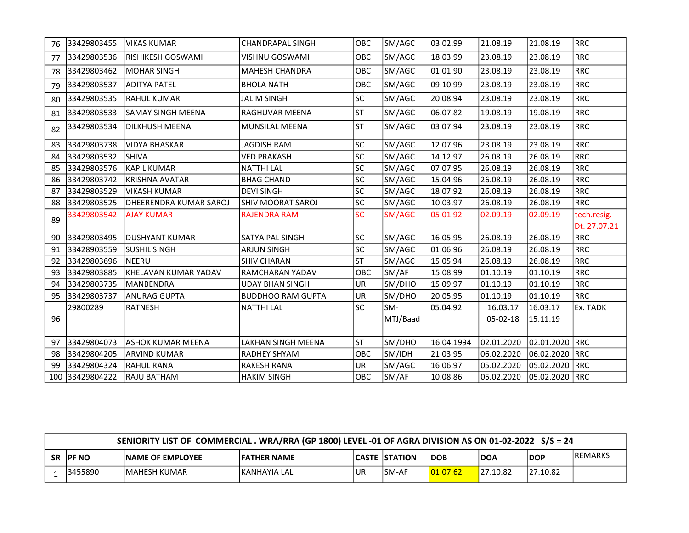| 76  | 33429803455 | <b>VIKAS KUMAR</b>       | <b>CHANDRAPAL SINGH</b>   | OBC       | SM/AGC   | 03.02.99   | 21.08.19   | 21.08.19       | <b>RRC</b>                  |
|-----|-------------|--------------------------|---------------------------|-----------|----------|------------|------------|----------------|-----------------------------|
| 77  | 33429803536 | <b>RISHIKESH GOSWAMI</b> | VISHNU GOSWAMI            | OBC       | SM/AGC   | 18.03.99   | 23.08.19   | 23.08.19       | <b>RRC</b>                  |
| 78  | 33429803462 | <b>MOHAR SINGH</b>       | <b>MAHESH CHANDRA</b>     | OBC       | SM/AGC   | 01.01.90   | 23.08.19   | 23.08.19       | <b>RRC</b>                  |
| 79  | 33429803537 | <b>ADITYA PATEL</b>      | <b>BHOLA NATH</b>         | OBC       | SM/AGC   | 09.10.99   | 23.08.19   | 23.08.19       | <b>RRC</b>                  |
| 80  | 33429803535 | <b>RAHUL KUMAR</b>       | <b>JALIM SINGH</b>        | <b>SC</b> | SM/AGC   | 20.08.94   | 23.08.19   | 23.08.19       | <b>RRC</b>                  |
| 81  | 33429803533 | SAMAY SINGH MEENA        | RAGHUVAR MEENA            | <b>ST</b> | SM/AGC   | 06.07.82   | 19.08.19   | 19.08.19       | <b>RRC</b>                  |
| 82  | 33429803534 | <b>DILKHUSH MEENA</b>    | MUNSILAL MEENA            | <b>ST</b> | SM/AGC   | 03.07.94   | 23.08.19   | 23.08.19       | <b>RRC</b>                  |
| 83  | 33429803738 | <b>VIDYA BHASKAR</b>     | <b>JAGDISH RAM</b>        | <b>SC</b> | SM/AGC   | 12.07.96   | 23.08.19   | 23.08.19       | <b>RRC</b>                  |
| 84  | 33429803532 | <b>SHIVA</b>             | <b>VED PRAKASH</b>        | SC        | SM/AGC   | 14.12.97   | 26.08.19   | 26.08.19       | <b>RRC</b>                  |
| 85  | 33429803576 | <b>KAPIL KUMAR</b>       | <b>NATTHI LAL</b>         | SC        | SM/AGC   | 07.07.95   | 26.08.19   | 26.08.19       | <b>RRC</b>                  |
| 86  | 33429803742 | <b>KRISHNA AVATAR</b>    | <b>BHAG CHAND</b>         | SC        | SM/AGC   | 15.04.96   | 26.08.19   | 26.08.19       | <b>RRC</b>                  |
| 87  | 33429803529 | <b>VIKASH KUMAR</b>      | <b>DEVI SINGH</b>         | SC        | SM/AGC   | 18.07.92   | 26.08.19   | 26.08.19       | <b>RRC</b>                  |
| 88  | 33429803525 | DHEERENDRA KUMAR SAROJ   | <b>SHIV MOORAT SAROJ</b>  | <b>SC</b> | SM/AGC   | 10.03.97   | 26.08.19   | 26.08.19       | <b>RRC</b>                  |
| 89  | 33429803542 | <b>AJAY KUMAR</b>        | <b>RAJENDRA RAM</b>       | <b>SC</b> | SM/AGC   | 05.01.92   | 02.09.19   | 02.09.19       | tech.resig.<br>Dt. 27.07.21 |
| 90  | 33429803495 | ldushyant kumar          | SATYA PAL SINGH           | <b>SC</b> | SM/AGC   | 16.05.95   | 26.08.19   | 26.08.19       | <b>RRC</b>                  |
| 91  | 33428903559 | <b>SUSHIL SINGH</b>      | <b>ARJUN SINGH</b>        | SC        | SM/AGC   | 01.06.96   | 26.08.19   | 26.08.19       | <b>RRC</b>                  |
| 92  | 33429803696 | <b>NEERU</b>             | <b>SHIV CHARAN</b>        | <b>ST</b> | SM/AGC   | 15.05.94   | 26.08.19   | 26.08.19       | <b>RRC</b>                  |
| 93  | 33429803885 | KHELAVAN KUMAR YADAV     | RAMCHARAN YADAV           | OBC       | SM/AF    | 15.08.99   | 01.10.19   | 01.10.19       | <b>RRC</b>                  |
| 94  | 33429803735 | MANBENDRA                | <b>UDAY BHAN SINGH</b>    | UR        | SM/DHO   | 15.09.97   | 01.10.19   | 01.10.19       | <b>RRC</b>                  |
| 95  | 33429803737 | <b>ANURAG GUPTA</b>      | <b>BUDDHOO RAM GUPTA</b>  | UR        | SM/DHO   | 20.05.95   | 01.10.19   | 01.10.19       | <b>RRC</b>                  |
|     | 29800289    | <b>RATNESH</b>           | <b>NATTHI LAL</b>         | <b>SC</b> | SM-      | 05.04.92   | 16.03.17   | 16.03.17       | Ex. TADK                    |
| 96  |             |                          |                           |           | MTJ/Baad |            | 05-02-18   | 15.11.19       |                             |
| 97  | 33429804073 | ASHOK KUMAR MEENA        | <b>LAKHAN SINGH MEENA</b> | <b>ST</b> | SM/DHO   | 16.04.1994 | 02.01.2020 | 02.01.2020 RRC |                             |
| 98  | 33429804205 | <b>ARVIND KUMAR</b>      | RADHEY SHYAM              | OBC       | SM/IDH   | 21.03.95   | 06.02.2020 | 06.02.2020     | RRC                         |
| 99  | 33429804324 | <b>RAHUL RANA</b>        | <b>RAKESH RANA</b>        | UR        | SM/AGC   | 16.06.97   | 05.02.2020 | 05.02.2020 RRC |                             |
| 100 | 33429804222 | RAJU BATHAM              | <b>HAKIM SINGH</b>        | OBC       | SM/AF    | 10.08.86   | 05.02.2020 | 05.02.2020 RRC |                             |

|           | SENIORITY LIST OF COMMERCIAL . WRA/RRA (GP 1800) LEVEL -01 OF AGRA DIVISION AS ON 01-02-2022 S/S = 24 |                          |                     |     |                      |                    |             |          |                 |  |
|-----------|-------------------------------------------------------------------------------------------------------|--------------------------|---------------------|-----|----------------------|--------------------|-------------|----------|-----------------|--|
| <b>SR</b> | <b>IPF NO</b>                                                                                         | <b>INAME OF EMPLOYEE</b> | <b>IFATHER NAME</b> |     | <b>CASTE STATION</b> | DOB                | <b>IDOA</b> | DOP      | <b>IREMARKS</b> |  |
|           | 3455890                                                                                               | IMAHESH KUMAR            | IKANHAYIA LAL       | ıUR | <b>ISM-AF</b>        | $ 01.07.62\rangle$ | 27.10.82    | 27.10.82 |                 |  |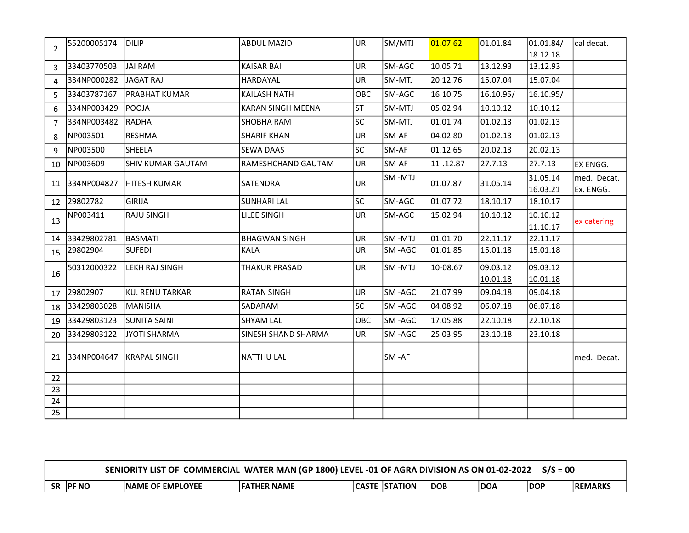| 2              | 55200005174 | DILIP                    | <b>ABDUL MAZID</b>       | lur.       | SM/MTJ  | 01.07.62  | 01.01.84  | 01.01.84/ | cal decat.  |
|----------------|-------------|--------------------------|--------------------------|------------|---------|-----------|-----------|-----------|-------------|
|                |             |                          |                          |            |         |           |           | 18.12.18  |             |
| 3              | 33403770503 | <b>JAI RAM</b>           | <b>KAISAR BAI</b>        | <b>UR</b>  | SM-AGC  | 10.05.71  | 13.12.93  | 13.12.93  |             |
| 4              | 334NP000282 | <b>JAGAT RAJ</b>         | HARDAYAL                 | UR         | SM-MTJ  | 20.12.76  | 15.07.04  | 15.07.04  |             |
| 5              | 33403787167 | PRABHAT KUMAR            | <b>KAILASH NATH</b>      | OBC        | SM-AGC  | 16.10.75  | 16.10.95/ | 16.10.95/ |             |
| 6              | 334NP003429 | <b>POOJA</b>             | <b>KARAN SINGH MEENA</b> | lst        | SM-MTJ  | 05.02.94  | 10.10.12  | 10.10.12  |             |
| $\overline{7}$ | 334NP003482 | RADHA                    | SHOBHA RAM               | lsc        | SM-MTJ  | 01.01.74  | 01.02.13  | 01.02.13  |             |
| 8              | NP003501    | <b>RESHMA</b>            | <b>SHARIF KHAN</b>       | UR         | SM-AF   | 04.02.80  | 01.02.13  | 01.02.13  |             |
| 9              | NP003500    | lsheela                  | <b>SEWA DAAS</b>         | lsc        | SM-AF   | 01.12.65  | 20.02.13  | 20.02.13  |             |
| 10             | NP003609    | <b>SHIV KUMAR GAUTAM</b> | RAMESHCHAND GAUTAM       | UR         | SM-AF   | 11-.12.87 | 27.7.13   | 27.7.13   | EX ENGG.    |
| 11             | 334NP004827 | HITESH KUMAR             | SATENDRA                 | UR         | SM-MTJ  | 01.07.87  | 31.05.14  | 31.05.14  | med. Decat. |
|                |             |                          |                          |            |         |           |           | 16.03.21  | Ex. ENGG.   |
| 12             | 29802782    | <b>GIRIJA</b>            | <b>SUNHARI LAL</b>       | lsc        | SM-AGC  | 01.07.72  | 18.10.17  | 18.10.17  |             |
| 13             | NP003411    | RAJU SINGH               | LILEE SINGH              | UR         | SM-AGC  | 15.02.94  | 10.10.12  | 10.10.12  | ex catering |
|                |             |                          |                          |            |         |           |           | 11.10.17  |             |
| 14             | 33429802781 | <b>BASMATI</b>           | <b>BHAGWAN SINGH</b>     | <b>UR</b>  | SM-MTJ  | 01.01.70  | 22.11.17  | 22.11.17  |             |
| 15             | 29802904    | <b>SUFEDI</b>            | <b>KALA</b>              | UR         | SM-AGC  | 01.01.85  | 15.01.18  | 15.01.18  |             |
|                | 50312000322 | LEKH RAJ SINGH           | <b>THAKUR PRASAD</b>     | <b>UR</b>  | SM-MTJ  | 10-08.67  | 09.03.12  | 09.03.12  |             |
| 16             |             |                          |                          |            |         |           | 10.01.18  | 10.01.18  |             |
| 17             | 29802907    | lku. RENU TARKAR         | <b>RATAN SINGH</b>       | <b>UR</b>  | SM-AGC  | 21.07.99  | 09.04.18  | 09.04.18  |             |
| 18             | 33429803028 | MANISHA                  | SADARAM                  | <b>SC</b>  | SM -AGC | 04.08.92  | 06.07.18  | 06.07.18  |             |
| 19             | 33429803123 | SUNITA SAINI             | <b>SHYAM LAL</b>         | <b>OBC</b> | SM-AGC  | 17.05.88  | 22.10.18  | 22.10.18  |             |
| 20             | 33429803122 | <b>JYOTI SHARMA</b>      | SINESH SHAND SHARMA      | UR         | SM-AGC  | 25.03.95  | 23.10.18  | 23.10.18  |             |
| 21             | 334NP004647 | <b>KRAPAL SINGH</b>      | <b>NATTHU LAL</b>        |            | SM-AF   |           |           |           | med. Decat. |
| 22             |             |                          |                          |            |         |           |           |           |             |
| 23             |             |                          |                          |            |         |           |           |           |             |
| 24             |             |                          |                          |            |         |           |           |           |             |
| 25             |             |                          |                          |            |         |           |           |           |             |

| SENIORITY LIST OF COMMERCIAL WATER MAN (GP 1800) LEVEL -01 OF AGRA DIVISION AS ON 01-02-2022 S/S = 00 |                         |                    |  |                      |     |     |            |                |  |
|-------------------------------------------------------------------------------------------------------|-------------------------|--------------------|--|----------------------|-----|-----|------------|----------------|--|
| SR  PF NO                                                                                             | <b>NAME OF EMPLOYEE</b> | <b>FATHER NAME</b> |  | <b>CASTE STATION</b> | DOB | DOA | <b>DOP</b> | <b>REMARKS</b> |  |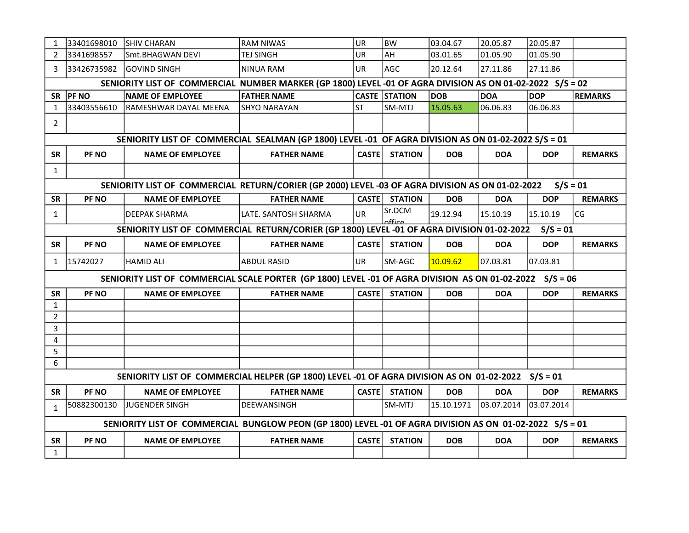| 1              | 33401698010                                                                                              | <b>SHIV CHARAN</b>                                                                                        | <b>RAM NIWAS</b>      | UR           | <b>BW</b>            | 03.04.67   | 20.05.87   | 20.05.87   |                |  |  |
|----------------|----------------------------------------------------------------------------------------------------------|-----------------------------------------------------------------------------------------------------------|-----------------------|--------------|----------------------|------------|------------|------------|----------------|--|--|
| 2              | 3341698557                                                                                               | Smt.BHAGWAN DEVI                                                                                          | <b>TEJ SINGH</b>      | UR           | AH                   | 03.01.65   | 01.05.90   | 01.05.90   |                |  |  |
| 3              | 33426735982                                                                                              | IGOVIND SINGH                                                                                             | NINUA RAM             | UR.          | AGC                  | 20.12.64   | 27.11.86   | 27.11.86   |                |  |  |
|                |                                                                                                          | SENIORITY LIST OF COMMERCIAL NUMBER MARKER (GP 1800) LEVEL -01 OF AGRA DIVISION AS ON 01-02-2022 S/S = 02 |                       |              |                      |            |            |            |                |  |  |
| <b>SR</b>      | <b>PF NO</b>                                                                                             | <b>NAME OF EMPLOYEE</b>                                                                                   | <b>FATHER NAME</b>    |              | <b>CASTE STATION</b> | <b>DOB</b> | <b>DOA</b> | <b>DOP</b> | <b>REMARKS</b> |  |  |
| 1              | 33403556610                                                                                              | RAMESHWAR DAYAL MEENA                                                                                     | <b>SHYO NARAYAN</b>   | lst          | SM-MTJ               | 15.05.63   | 06.06.83   | 06.06.83   |                |  |  |
| $\overline{2}$ |                                                                                                          |                                                                                                           |                       |              |                      |            |            |            |                |  |  |
|                |                                                                                                          | SENIORITY LIST OF COMMERCIAL SEALMAN (GP 1800) LEVEL -01 OF AGRA DIVISION AS ON 01-02-2022 S/S = 01       |                       |              |                      |            |            |            |                |  |  |
| SR             | PF <sub>NO</sub>                                                                                         | <b>NAME OF EMPLOYEE</b>                                                                                   | <b>FATHER NAME</b>    | <b>CASTE</b> | <b>STATION</b>       | <b>DOB</b> | <b>DOA</b> | <b>DOP</b> | <b>REMARKS</b> |  |  |
| $\mathbf{1}$   |                                                                                                          |                                                                                                           |                       |              |                      |            |            |            |                |  |  |
|                |                                                                                                          | SENIORITY LIST OF COMMERCIAL RETURN/CORIER (GP 2000) LEVEL -03 OF AGRA DIVISION AS ON 01-02-2022          |                       |              |                      |            |            | $S/S = 01$ |                |  |  |
| SR             | PF <sub>NO</sub>                                                                                         | <b>NAME OF EMPLOYEE</b>                                                                                   | <b>FATHER NAME</b>    | <b>CASTE</b> | <b>STATION</b>       | <b>DOB</b> | <b>DOA</b> | <b>DOP</b> | <b>REMARKS</b> |  |  |
| 1              |                                                                                                          | DEEPAK SHARMA                                                                                             | lLATE. SANTOSH SHARMA | <b>UR</b>    | Sr.DCM<br>مffir      | 19.12.94   | 15.10.19   | 15.10.19   | CG             |  |  |
|                | SENIORITY LIST OF COMMERCIAL RETURN/CORIER (GP 1800) LEVEL -01 OF AGRA DIVISION 01-02-2022<br>$S/S = 01$ |                                                                                                           |                       |              |                      |            |            |            |                |  |  |
| SR             | PF <sub>NO</sub>                                                                                         | <b>NAME OF EMPLOYEE</b>                                                                                   | <b>FATHER NAME</b>    | CASTE        | <b>STATION</b>       | <b>DOB</b> | <b>DOA</b> | <b>DOP</b> | <b>REMARKS</b> |  |  |
| $\mathbf{1}$   | 15742027                                                                                                 | HAMID ALI                                                                                                 | <b>ABDUL RASID</b>    | <b>UR</b>    | SM-AGC               | 10.09.62   | 07.03.81   | 07.03.81   |                |  |  |
|                |                                                                                                          | SENIORITY LIST OF COMMERCIAL SCALE PORTER (GP 1800) LEVEL -01 OF AGRA DIVISION AS ON 01-02-2022 S/S = 06  |                       |              |                      |            |            |            |                |  |  |
| <b>SR</b>      | PF <sub>NO</sub>                                                                                         | <b>NAME OF EMPLOYEE</b>                                                                                   | <b>FATHER NAME</b>    |              | CASTE STATION        | <b>DOB</b> | <b>DOA</b> | <b>DOP</b> | <b>REMARKS</b> |  |  |
| $\mathbf{1}$   |                                                                                                          |                                                                                                           |                       |              |                      |            |            |            |                |  |  |
| $\overline{2}$ |                                                                                                          |                                                                                                           |                       |              |                      |            |            |            |                |  |  |
| 3              |                                                                                                          |                                                                                                           |                       |              |                      |            |            |            |                |  |  |
| 4              |                                                                                                          |                                                                                                           |                       |              |                      |            |            |            |                |  |  |
| 5              |                                                                                                          |                                                                                                           |                       |              |                      |            |            |            |                |  |  |
| 6              |                                                                                                          |                                                                                                           |                       |              |                      |            |            |            |                |  |  |
|                |                                                                                                          | SENIORITY LIST OF COMMERCIAL HELPER (GP 1800) LEVEL -01 OF AGRA DIVISION AS ON 01-02-2022 S/S = 01        |                       |              |                      |            |            |            |                |  |  |
| <b>SR</b>      | PF NO                                                                                                    | <b>NAME OF EMPLOYEE</b>                                                                                   | <b>FATHER NAME</b>    | <b>CASTE</b> | <b>STATION</b>       | <b>DOB</b> | <b>DOA</b> | <b>DOP</b> | <b>REMARKS</b> |  |  |
| $\mathbf{1}$   | 50882300130                                                                                              | JUGENDER SINGH                                                                                            | DEEWANSINGH           |              | SM-MTJ               | 15.10.1971 | 03.07.2014 | 03.07.2014 |                |  |  |
|                | SENIORITY LIST OF COMMERCIAL BUNGLOW PEON (GP 1800) LEVEL -01 OF AGRA DIVISION AS ON 01-02-2022 S/S = 01 |                                                                                                           |                       |              |                      |            |            |            |                |  |  |
| <b>SR</b>      | PF NO                                                                                                    | <b>NAME OF EMPLOYEE</b>                                                                                   | <b>FATHER NAME</b>    | <b>CASTE</b> | <b>STATION</b>       | <b>DOB</b> | <b>DOA</b> | <b>DOP</b> | <b>REMARKS</b> |  |  |
| $\mathbf{1}$   |                                                                                                          |                                                                                                           |                       |              |                      |            |            |            |                |  |  |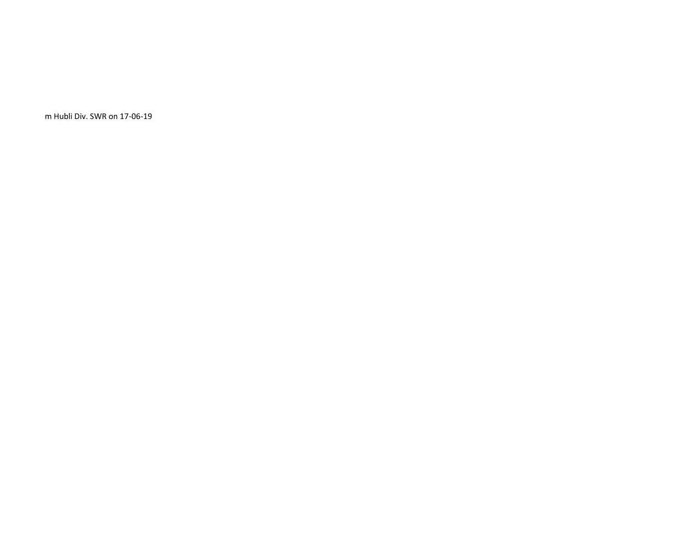m Hubli Div. SWR on 17-06-19